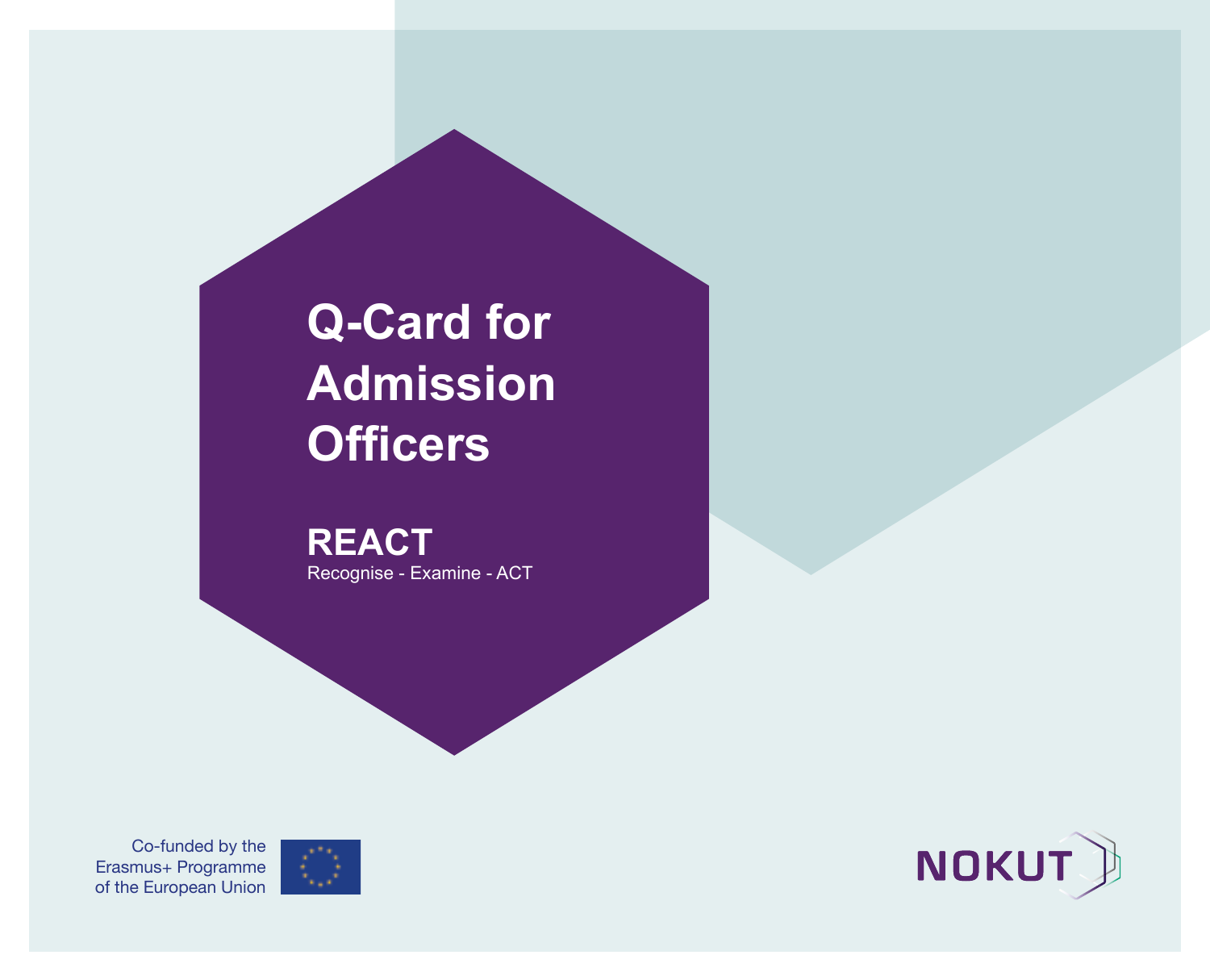# **Q-Card for Admission Officers**

**REACT** Recognise - Examine - ACT

Co-funded by the Erasmus+ Programme of the European Union



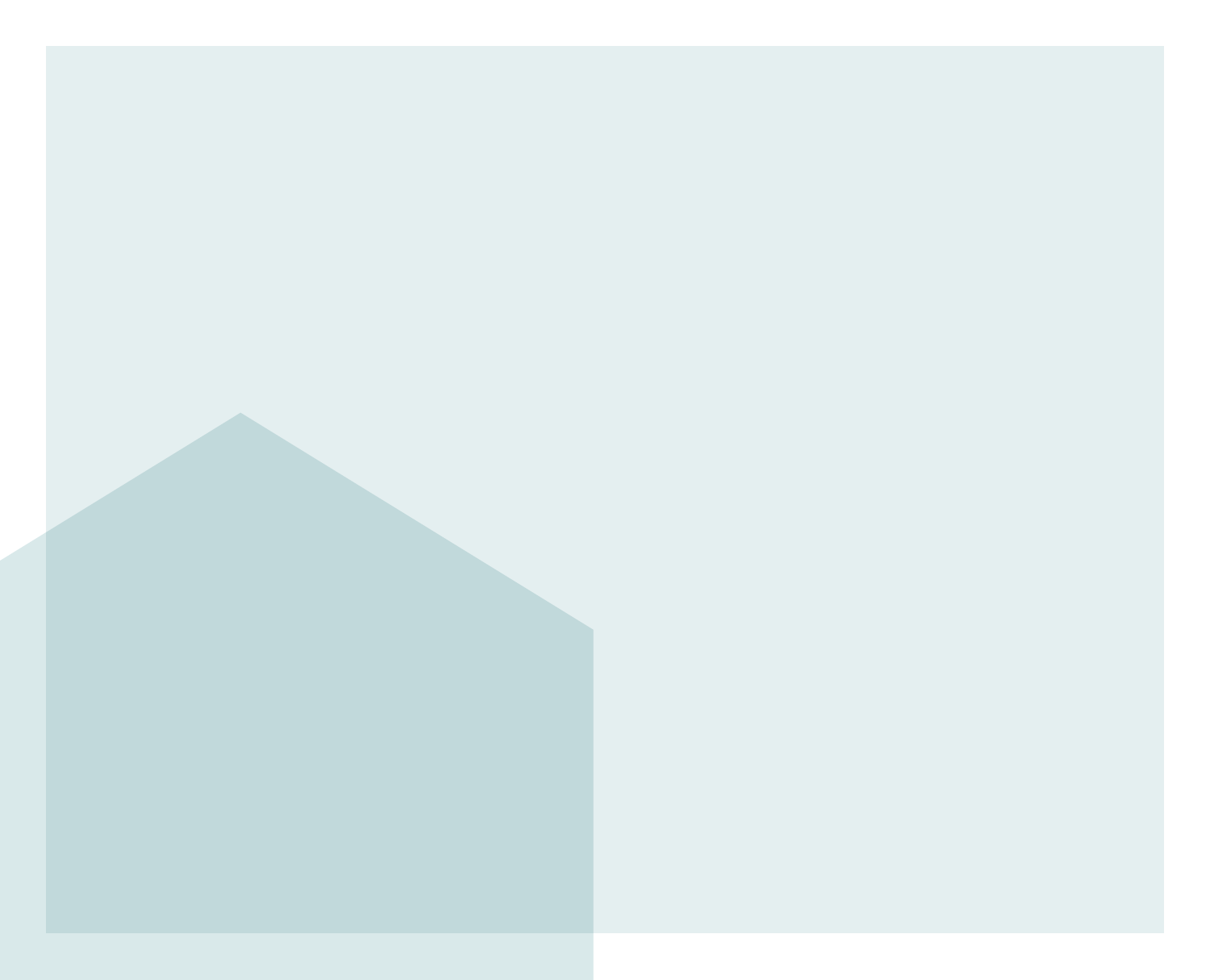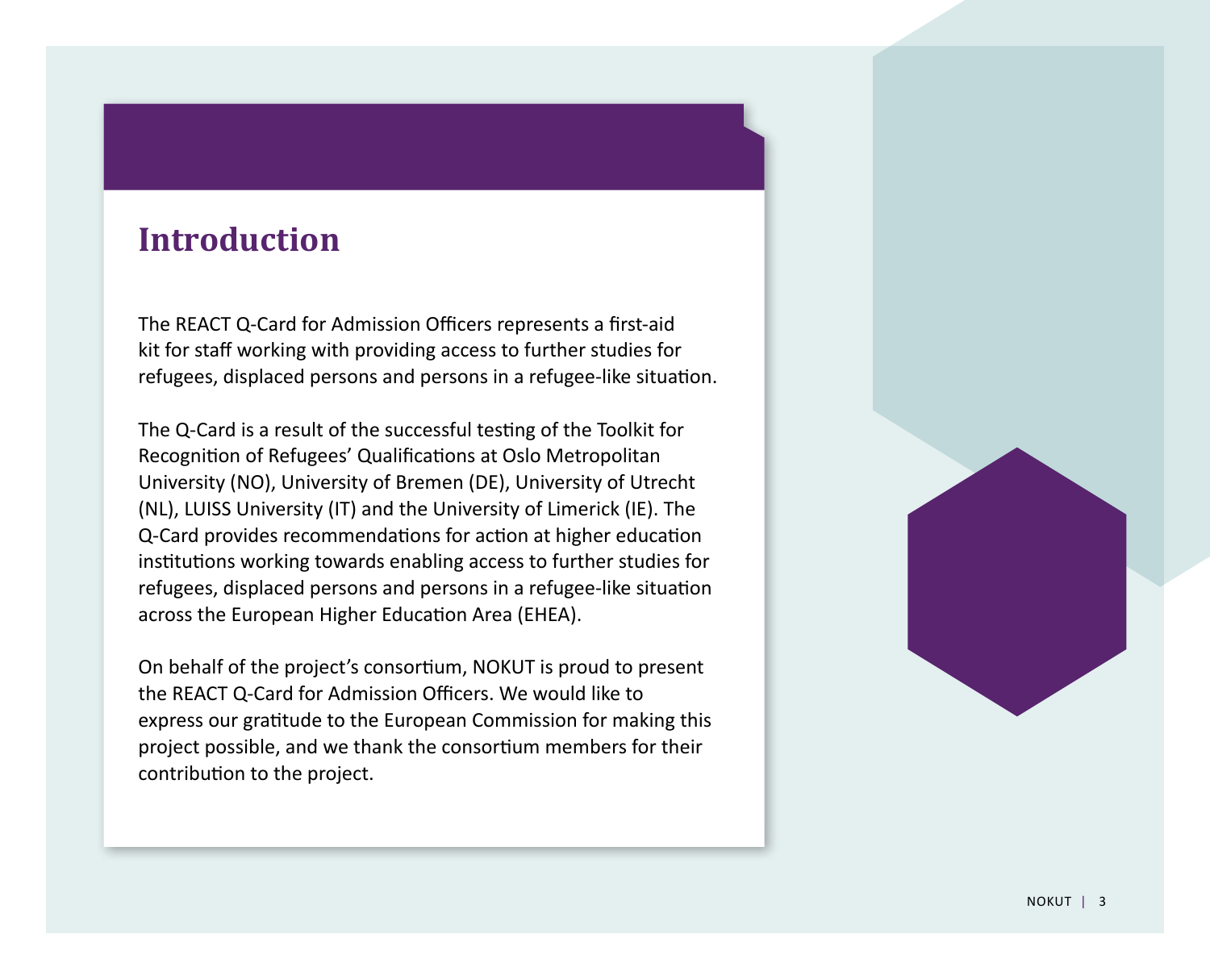### **Introduction**

The REACT Q-Card for Admission Officers represents a first-aid kit for staff working with providing access to further studies for refugees, displaced persons and persons in a refugee-like situation.

The Q-Card is a result of the successful testing of the Toolkit for Recognition of Refugees' Qualifications at Oslo Metropolitan University (NO), University of Bremen (DE), University of Utrecht (NL), LUISS University (IT) and the University of Limerick (IE). The Q-Card provides recommendations for action at higher education institutions working towards enabling access to further studies for refugees, displaced persons and persons in a refugee-like situation across the European Higher Education Area (EHEA).

On behalf of the project's consortium, NOKUT is proud to present the REACT Q-Card for Admission Officers. We would like to express our gratitude to the European Commission for making this project possible, and we thank the consortium members for their contribution to the project.

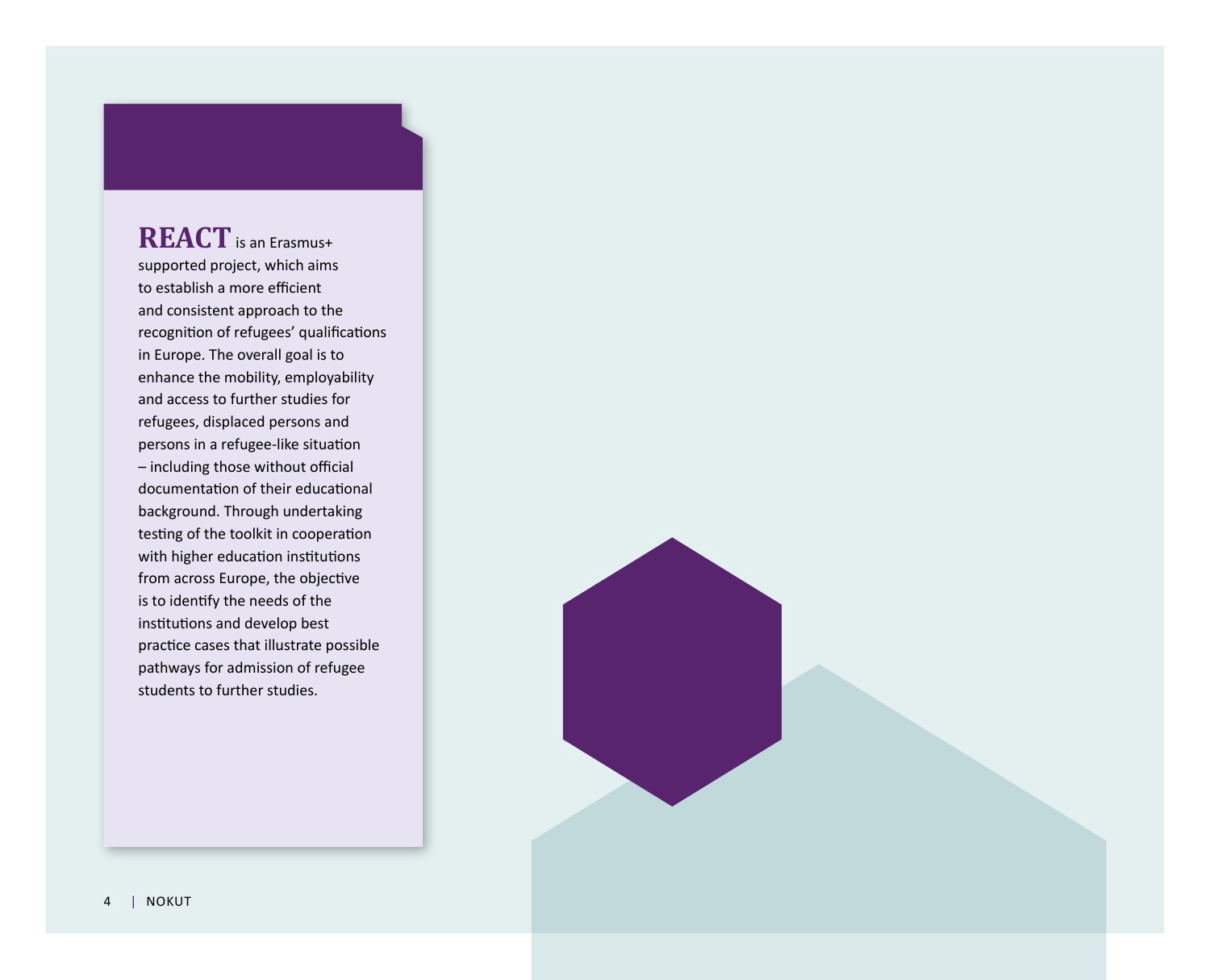### **REACT** is an Erasmus+

supported project, which aims to establish a more efficient and consistent approach to the recognition of refugees' qualifications in Europe. The overall goal is to enhance the mobility, employability and access to further studies for refugees, displaced persons and persons in a refugee-like situation – including those without official documentation of their educational background. Through undertaking testing of the toolkit in cooperation with higher education institutions from across Europe, the objective is to identify the needs of the institutions and develop best practice cases that illustrate possible pathways for admission of refugee students to further studies.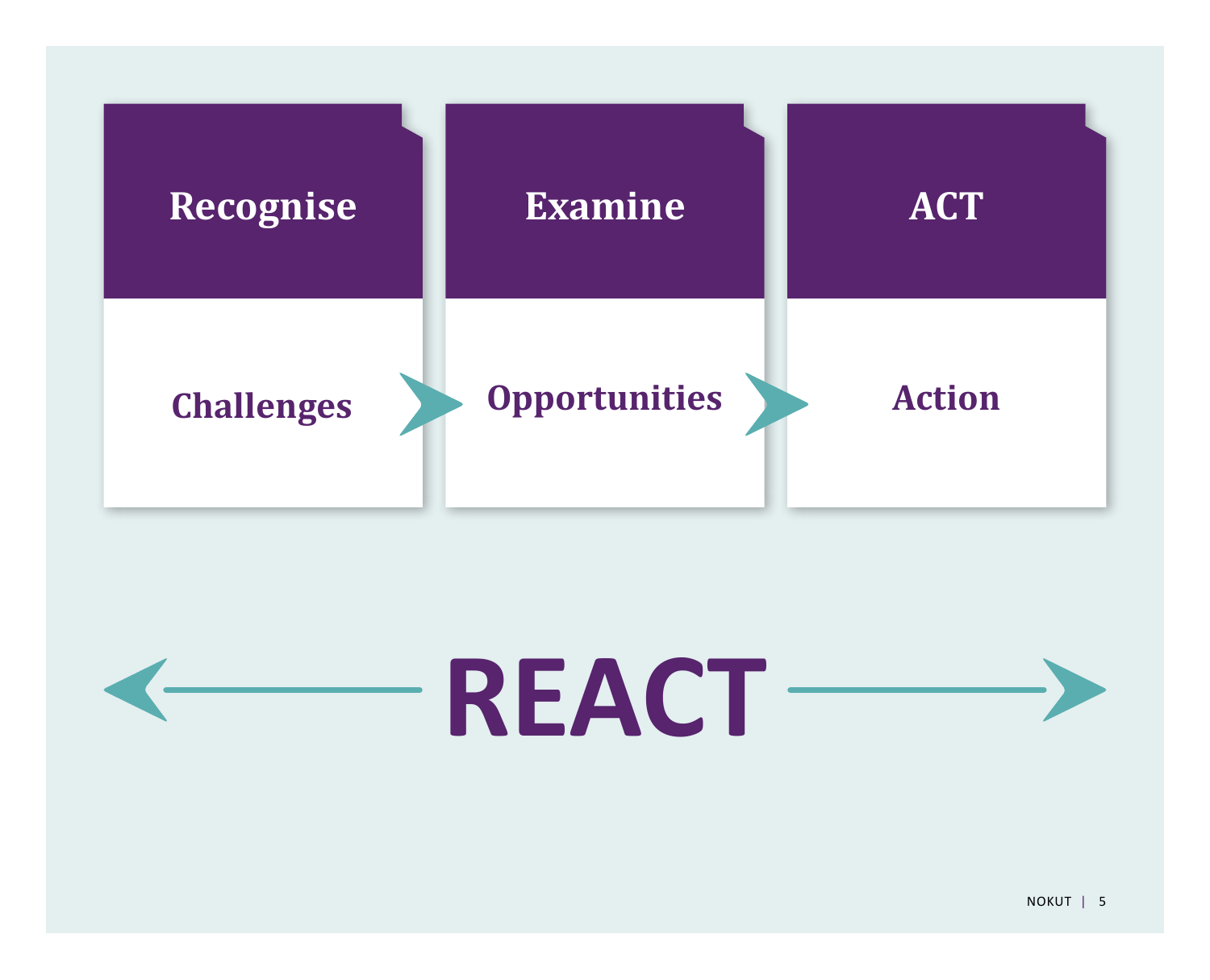

# **REACT**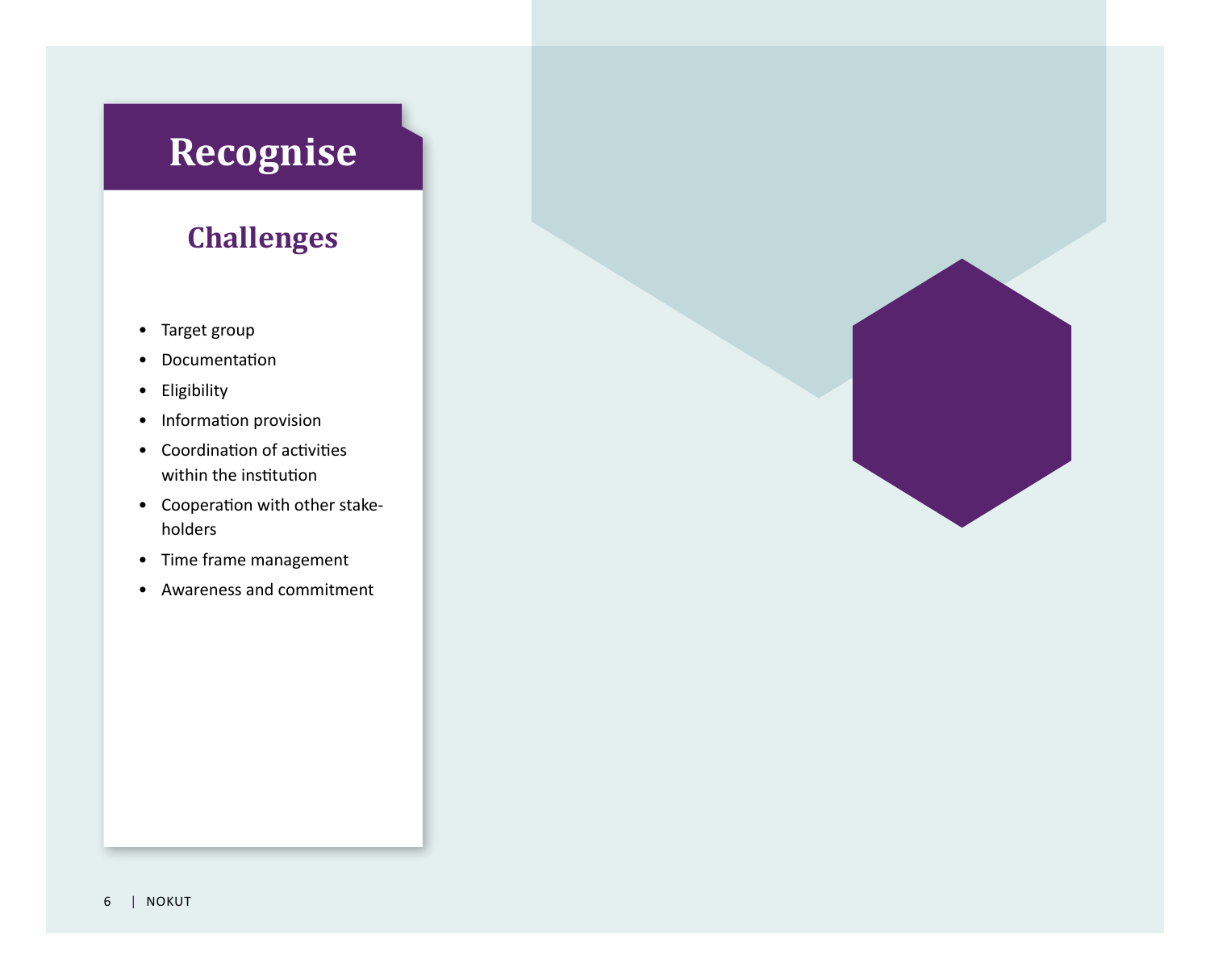# **Recognise**

### **Challenges**

- Target group
- Documentation
- Eligibility
- Information provision
- Coordination of activities within the institution
- Cooperation with other stakeholders
- Time frame management
- Awareness and commitment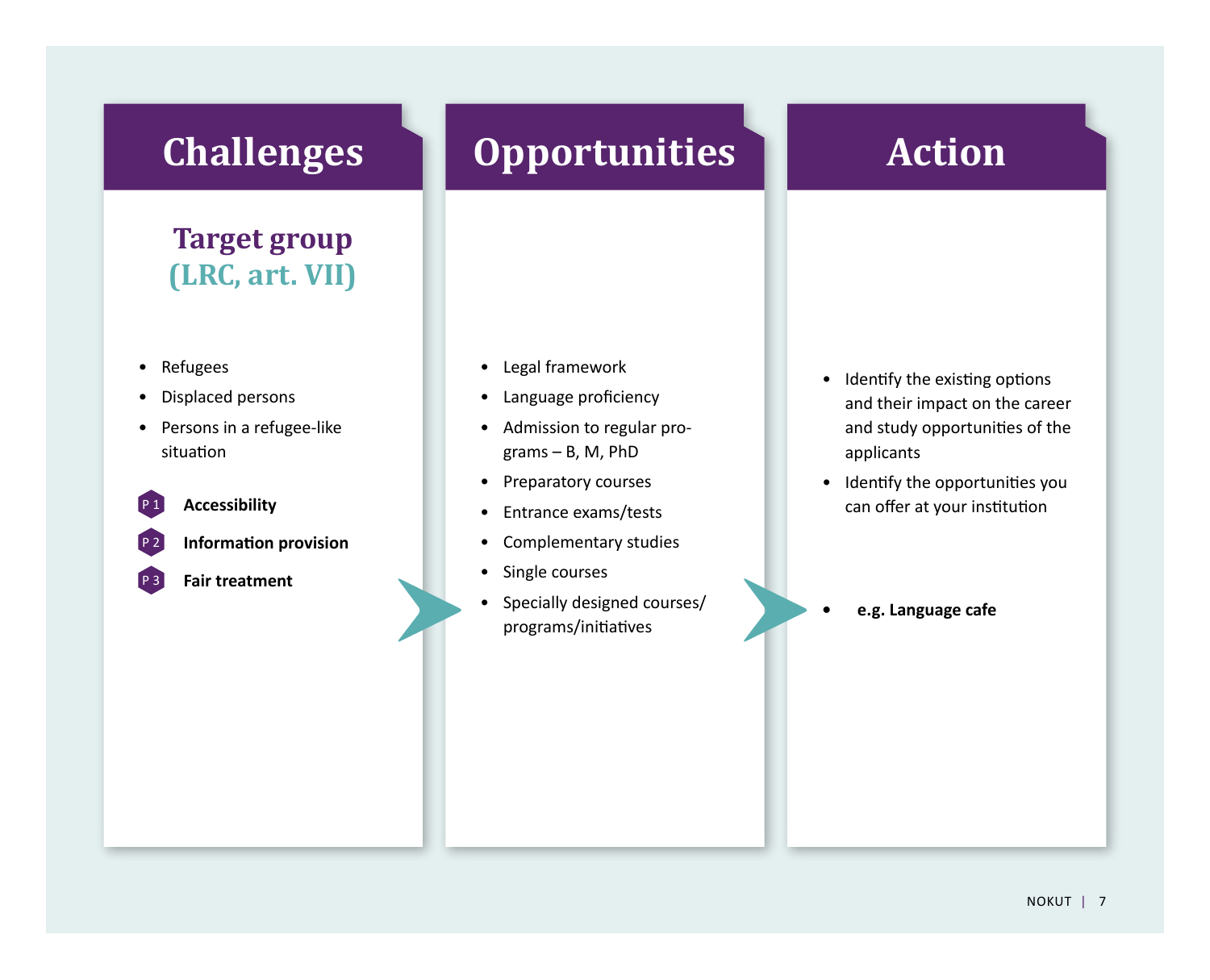### **Target group (LRC, art. VII)**

• Refugees

P 1 P 2 P 3

- Displaced persons
- Persons in a refugee-like situation
	- **Accessibility**
	- **• Information provision**
	- **Fair treatment**

# **Challenges Challenges** Opportunities **Action**

- Legal framework
- Language proficiency
- Admission to regular programs – B, M, PhD
- Preparatory courses
- Entrance exams/tests
- Complementary studies
- Single courses
- Specially designed courses/ programs/initiatives
- Identify the existing options and their impact on the career and study opportunities of the applicants
- Identify the opportunities you can offer at your institution

**• e.g. Language cafe**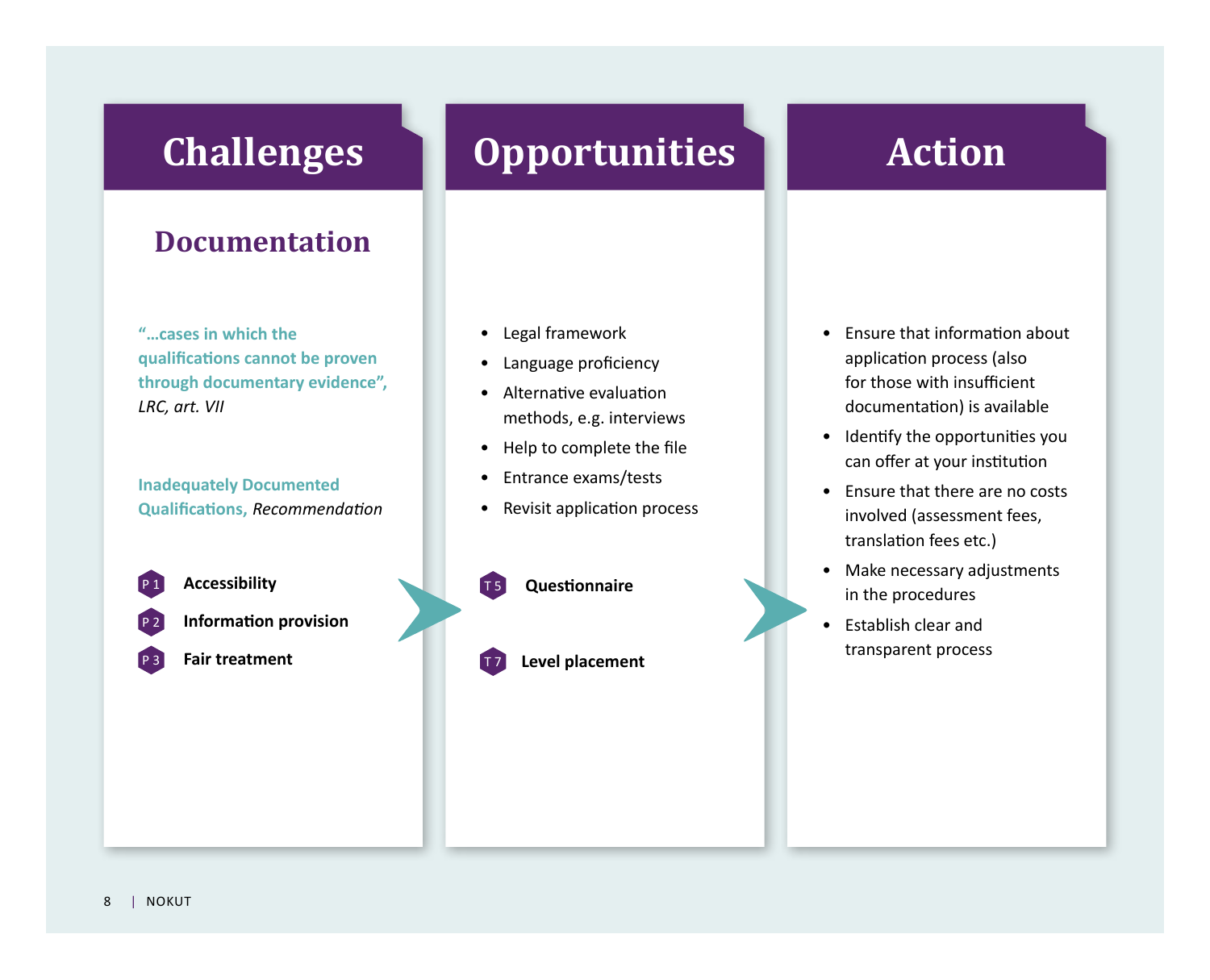### **Documentation**

**"…cases in which the qualifications cannot be proven through documentary evidence",** *LRC, art. VII*

**Inadequately Documented Qualifications,** *Recommendation*

**• Accessibility**

**• Information provision**

**• Fair treatment**

# **Challenges Opportunities Action**

- Legal framework
- Language proficiency
- Alternative evaluation methods, e.g. interviews
- Help to complete the file
- Entrance exams/tests
- Revisit application process
- **• Questionnaire**  $T<sub>5</sub>$
- **• Level placement**  $[T7]$
- Ensure that information about application process (also for those with insufficient documentation) is available
- Identify the opportunities you can offer at your institution
- Ensure that there are no costs involved (assessment fees, translation fees etc.)
- Make necessary adjustments in the procedures
- Establish clear and transparent process

P 1 P 2 P 3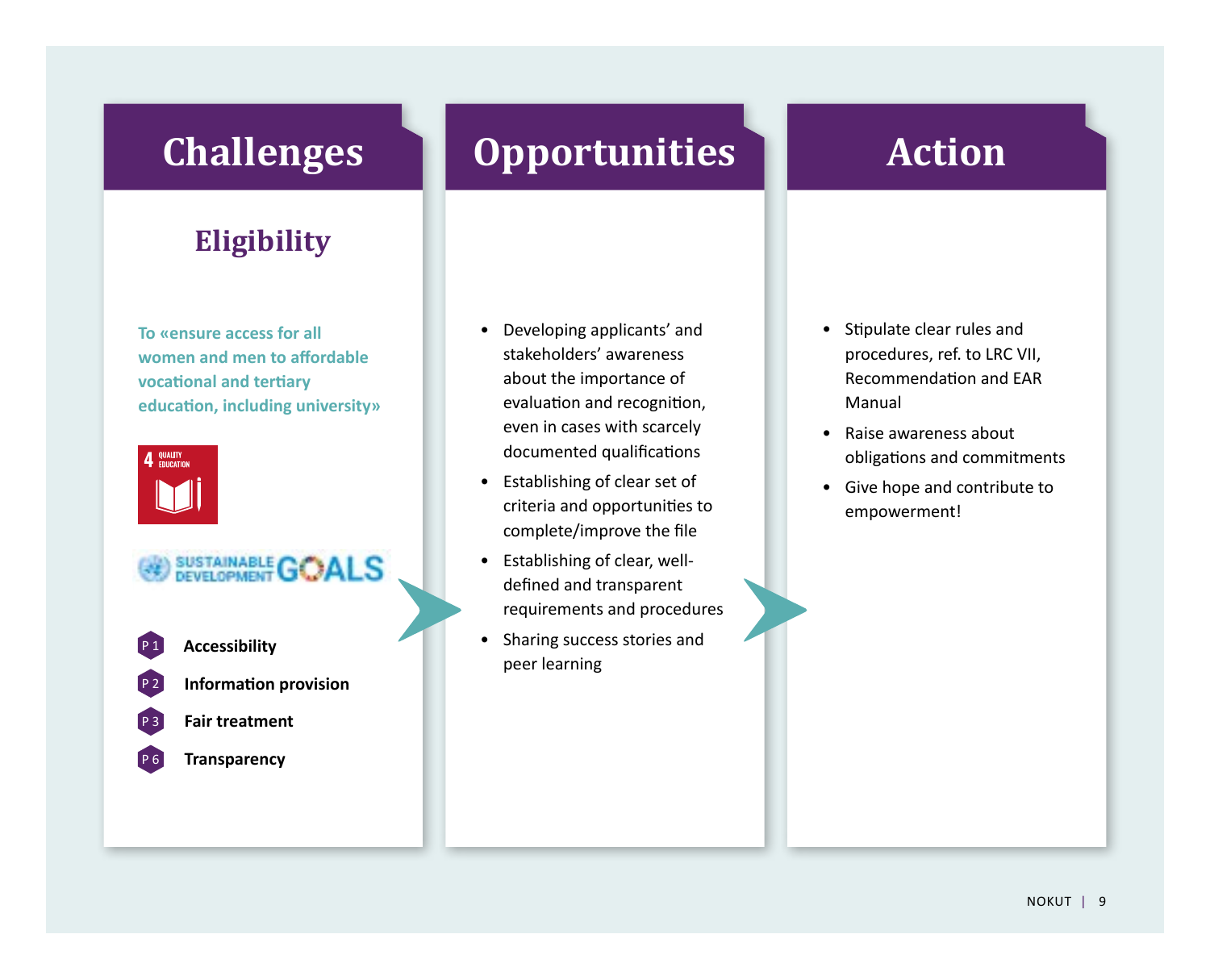### **Eligibility**

**To «ensure access for all women and men to affordable vocational and tertiary education, including university»**



P 1 P 2 P 3 P 6

## SUSTAINABLE GOALS

### **• Accessibility**

**• Information provision**

**• Fair treatment** 

**• Transparency**

# **Challenges Challenges** Opportunities **Action**

- Developing applicants' and stakeholders' awareness about the importance of evaluation and recognition, even in cases with scarcely documented qualifications
- Establishing of clear set of criteria and opportunities to complete/improve the file
- Establishing of clear, welldefined and transparent requirements and procedures
- Sharing success stories and peer learning
- Stipulate clear rules and procedures, ref. to LRC VII, Recommendation and EAR Manual
- Raise awareness about obligations and commitments
- Give hope and contribute to empowerment!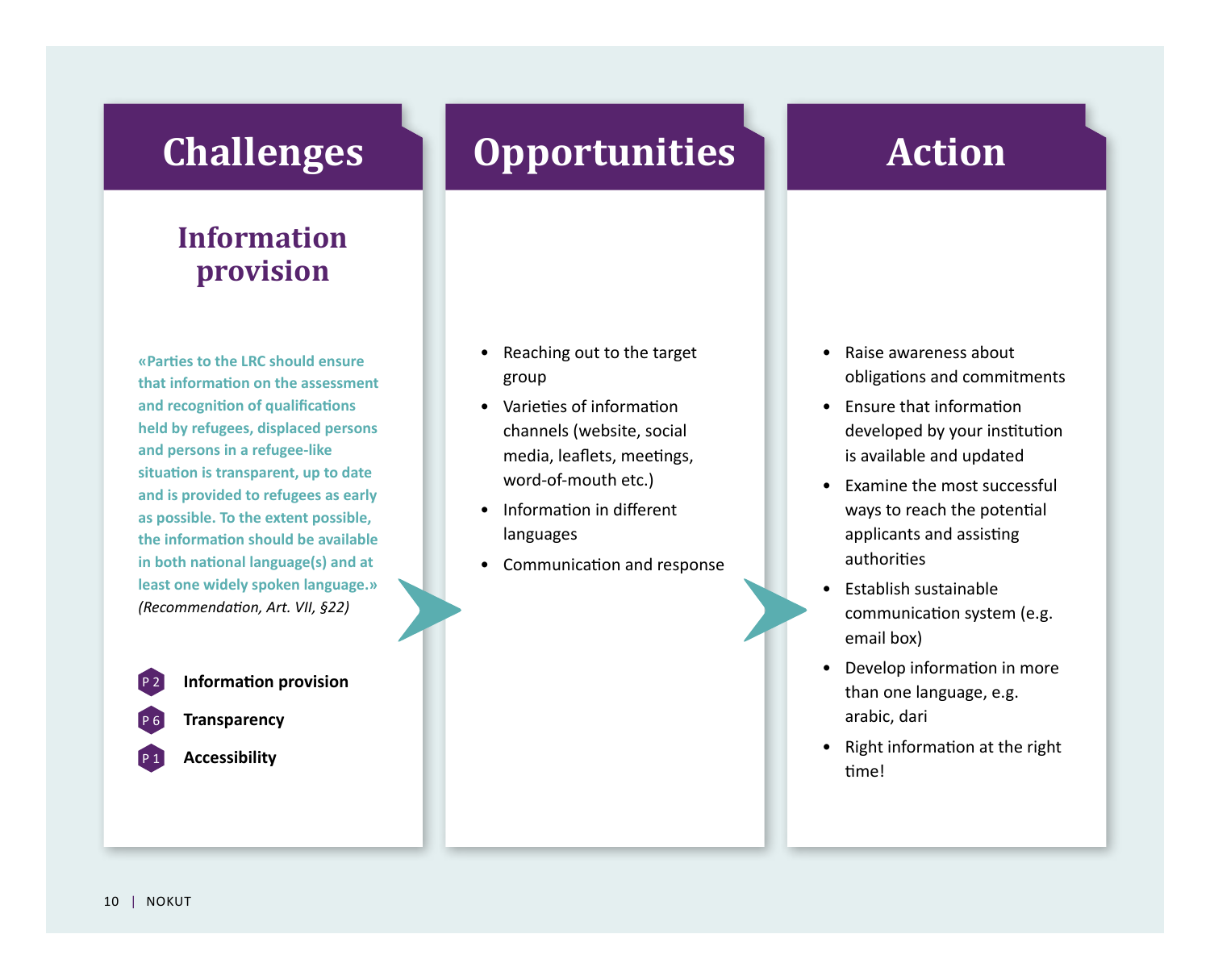### **Information provision**

**«Parties to the LRC should ensure that information on the assessment and recognition of qualifications held by refugees, displaced persons and persons in a refugee-like situation is transparent, up to date and is provided to refugees as early as possible. To the extent possible, the information should be available in both national language(s) and at least one widely spoken language.»** *(Recommendation, Art. VII, §22)*



**• Information provision**

- **• Transparency**
- **Accessibility**

# **Challenges Opportunities Action**

- Reaching out to the target group
- Varieties of information channels (website, social media, leaflets, meetings, word-of-mouth etc.)
- Information in different languages
- Communication and response
- Raise awareness about obligations and commitments
- Ensure that information developed by your institution is available and updated
- Examine the most successful ways to reach the potential applicants and assisting authorities
- Establish sustainable communication system (e.g. email box)
- Develop information in more than one language, e.g. arabic, dari
- Right information at the right time!

P 6 P 1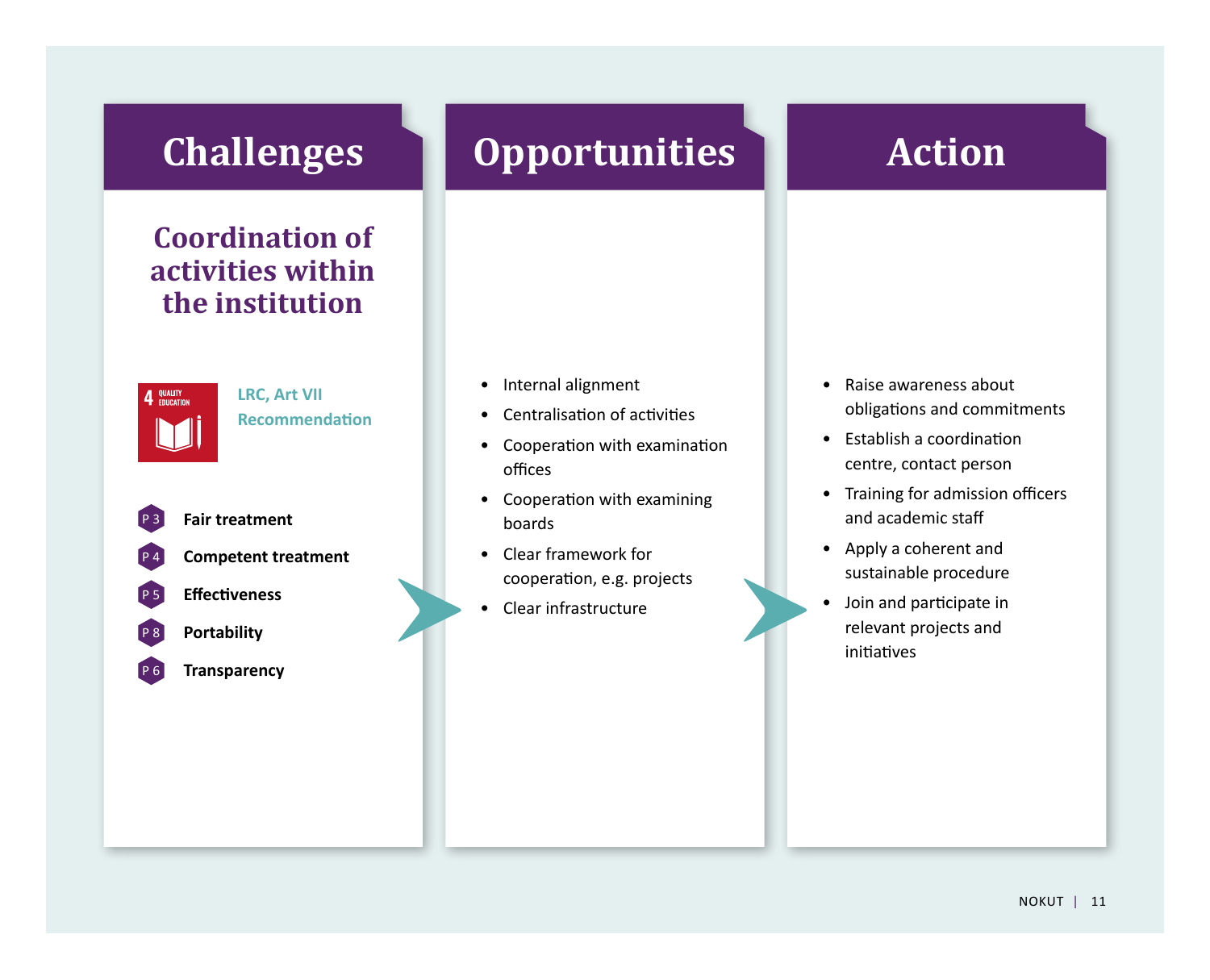### **Coordination of activities within the institution**



P 4 P 3

P 5 P 8 P 6

### **LRC, Art VII Recommendation**

**• Fair treatment**

**• Competent treatment**

**• Effectiveness**

- **Portability**
- **• Transparency**

# **Challenges Opportunities Action**

- Internal alignment
- Centralisation of activities
- Cooperation with examination offices
- Cooperation with examining boards
- Clear framework for cooperation, e.g. projects
- Clear infrastructure
- Raise awareness about obligations and commitments
- Establish a coordination centre, contact person
- Training for admission officers and academic staff
- Apply a coherent and sustainable procedure
- Join and participate in relevant projects and initiatives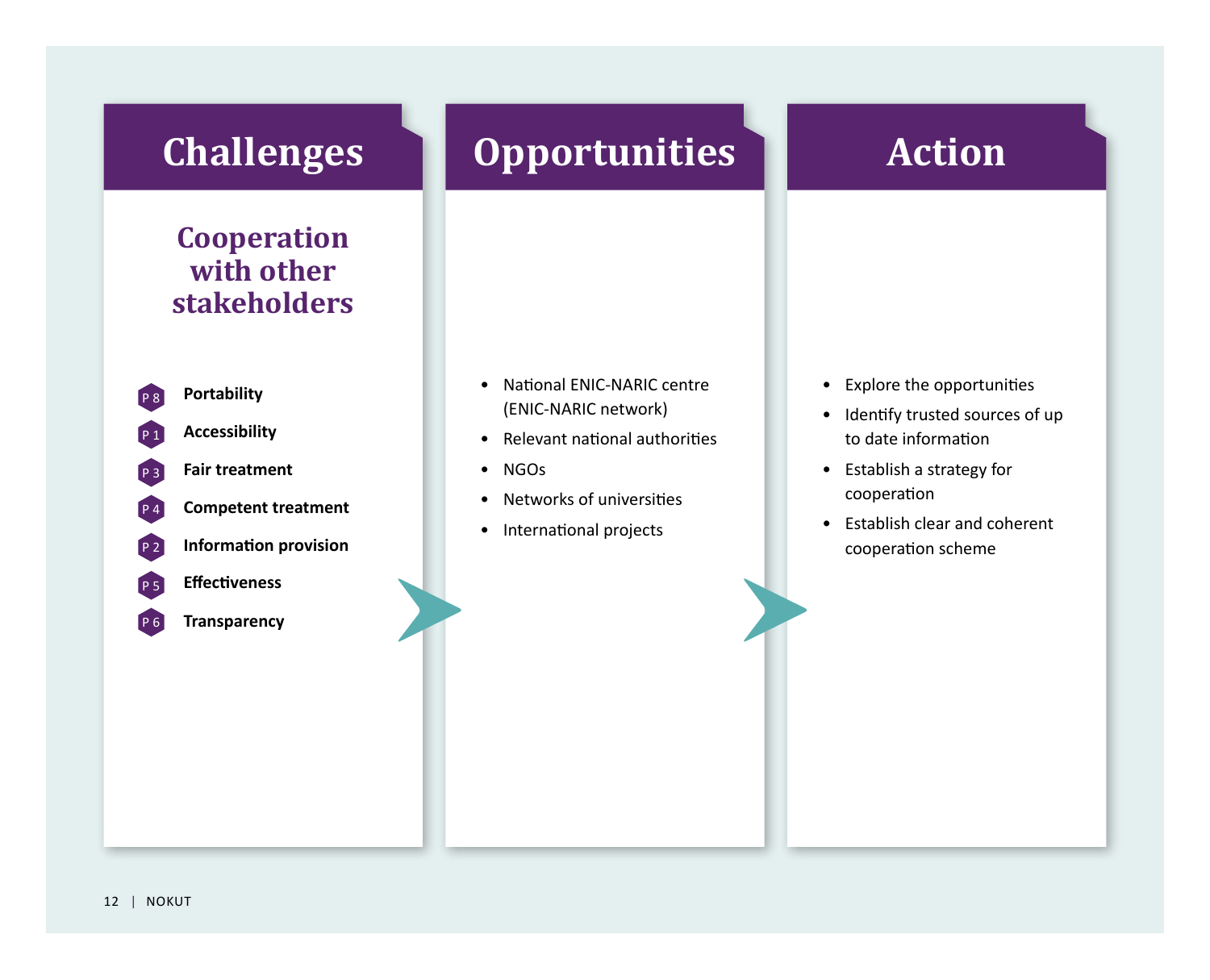### **Cooperation with other stakeholders**



# **Challenges Challenges** Opportunities **Action**

- National ENIC-NARIC centre (ENIC-NARIC network)
- Relevant national authorities
- NGOs
- Networks of universities
- International projects
- Explore the opportunities
- Identify trusted sources of up to date information
- Establish a strategy for cooperation
- Establish clear and coherent cooperation scheme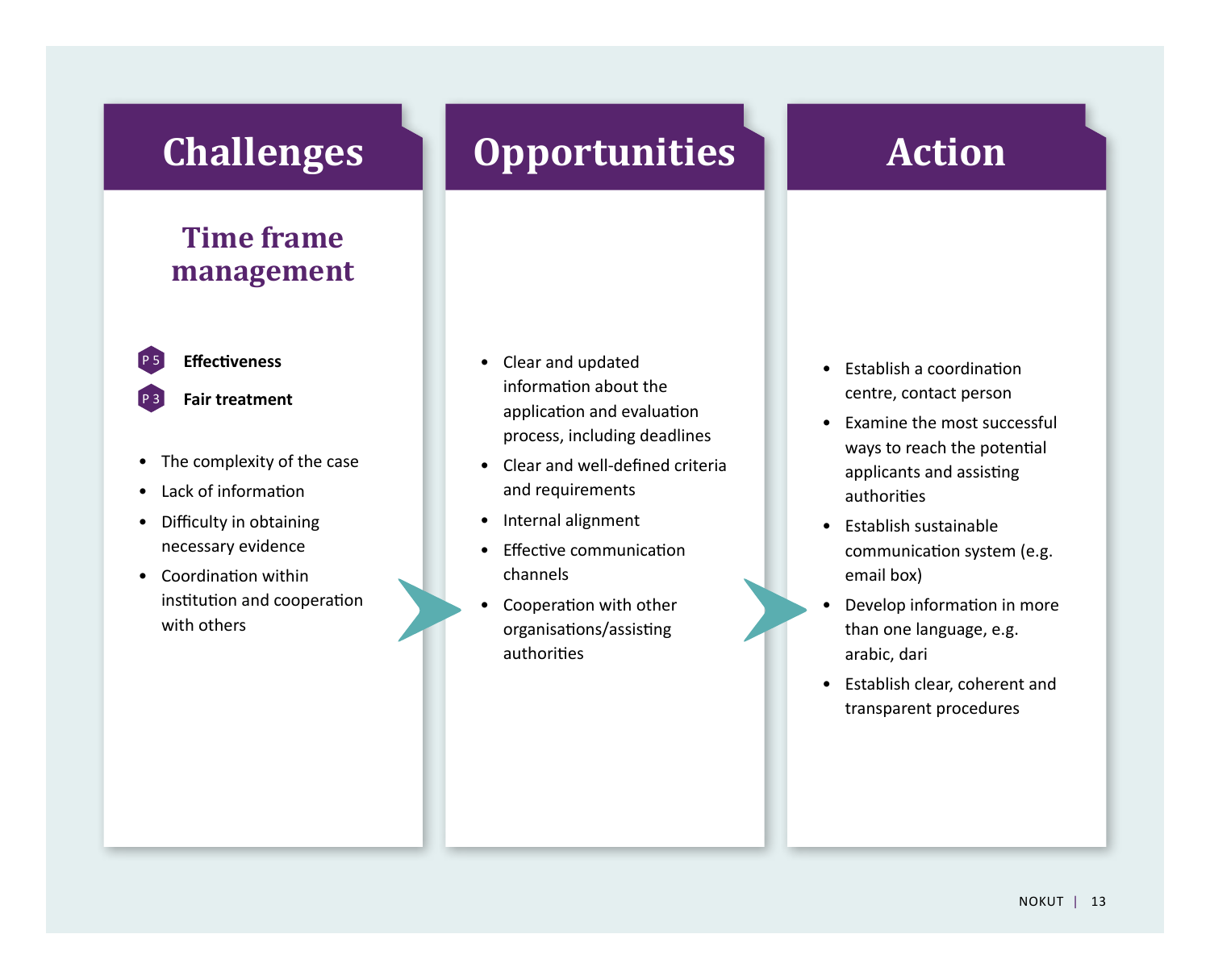### **Time frame management**



**• Effectiveness**

**• Fair treatment**

- The complexity of the case
- Lack of information
- Difficulty in obtaining necessary evidence
- Coordination within institution and cooperation with others

# **Challenges Opportunities Action**

- Clear and updated information about the application and evaluation process, including deadlines
- Clear and well-defined criteria and requirements
- Internal alignment
- Effective communication channels
- Cooperation with other organisations/assisting authorities
- Establish a coordination centre, contact person
- Examine the most successful ways to reach the potential applicants and assisting authorities
- Establish sustainable communication system (e.g. email box)
- Develop information in more than one language, e.g. arabic, dari
- Establish clear, coherent and transparent procedures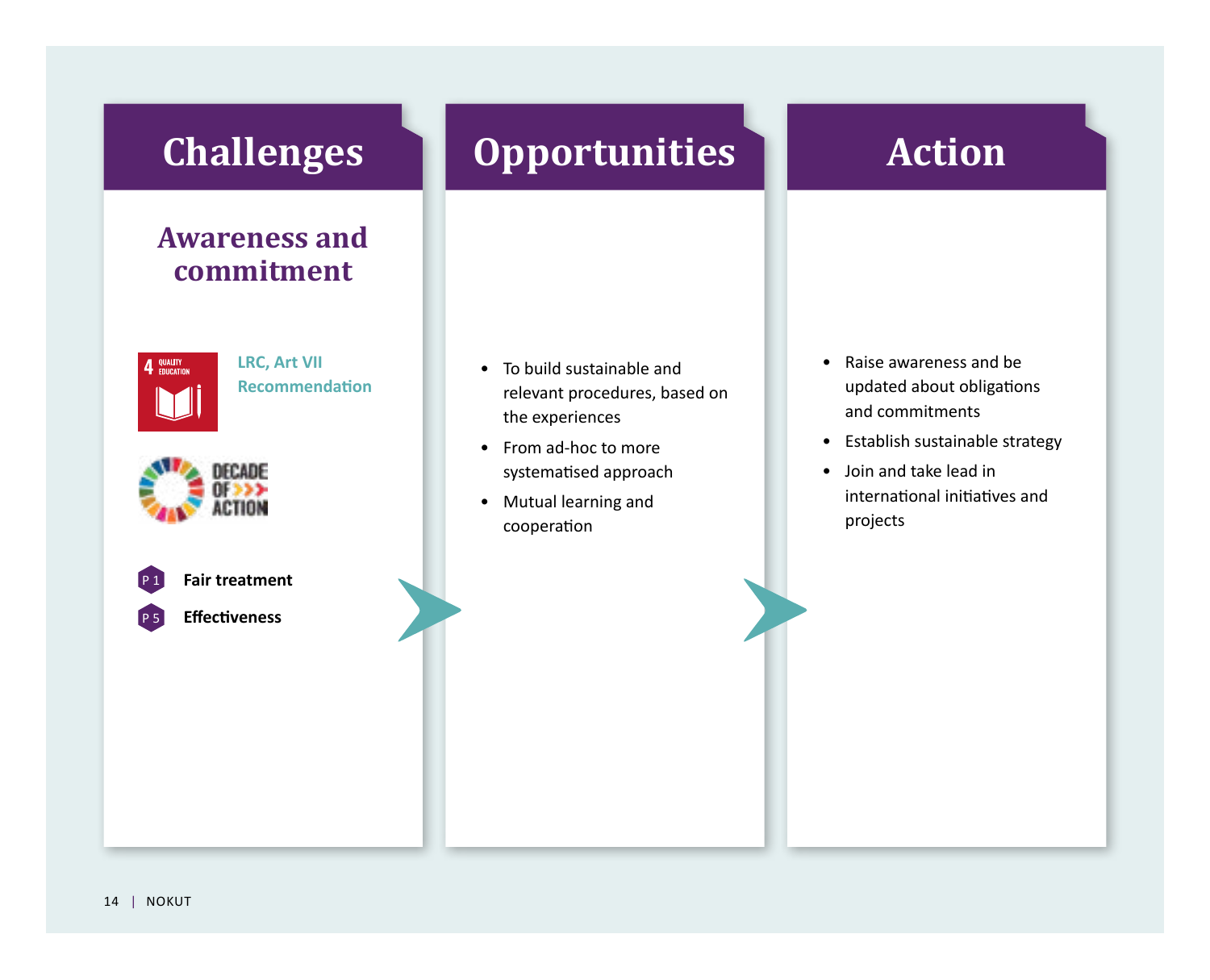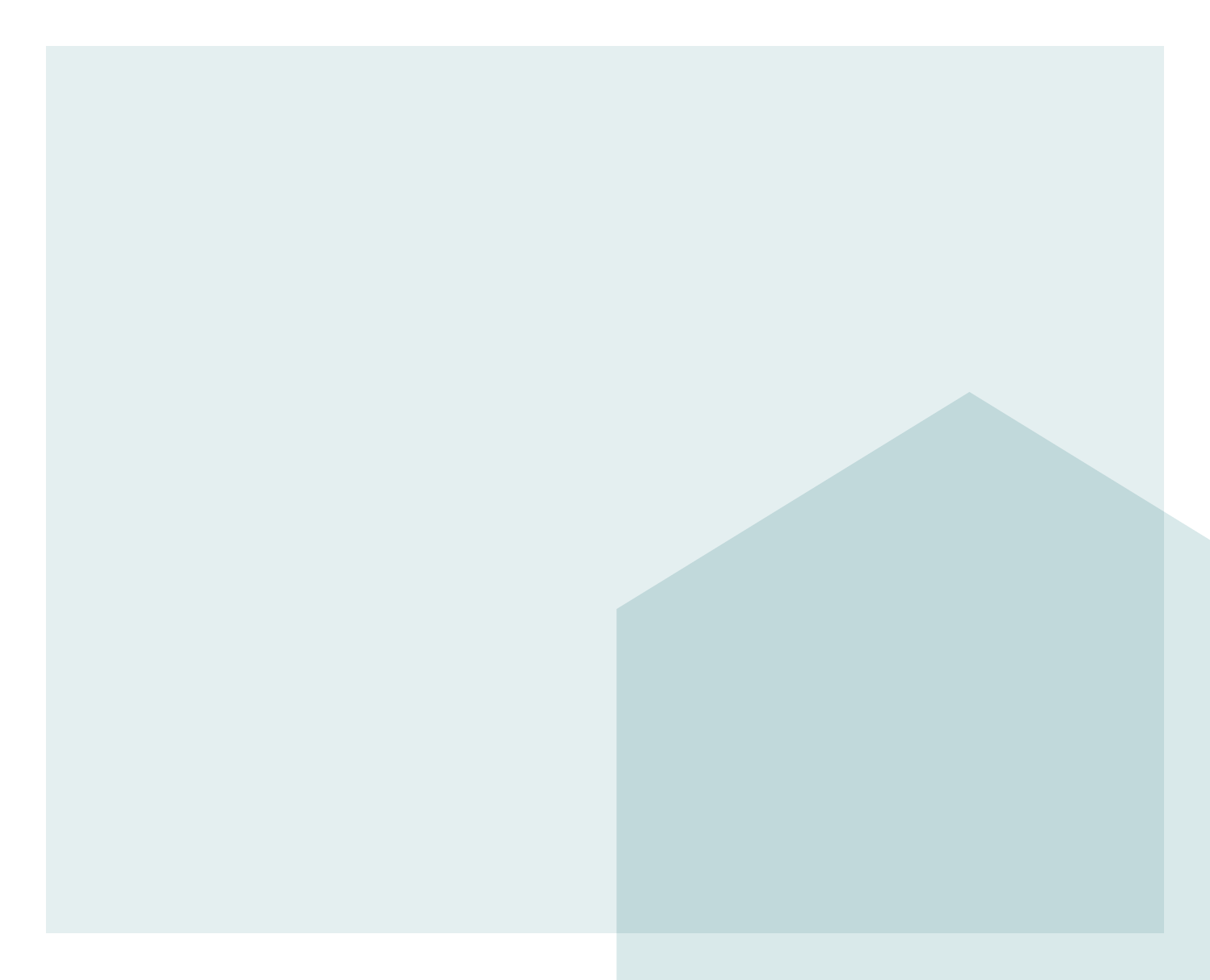